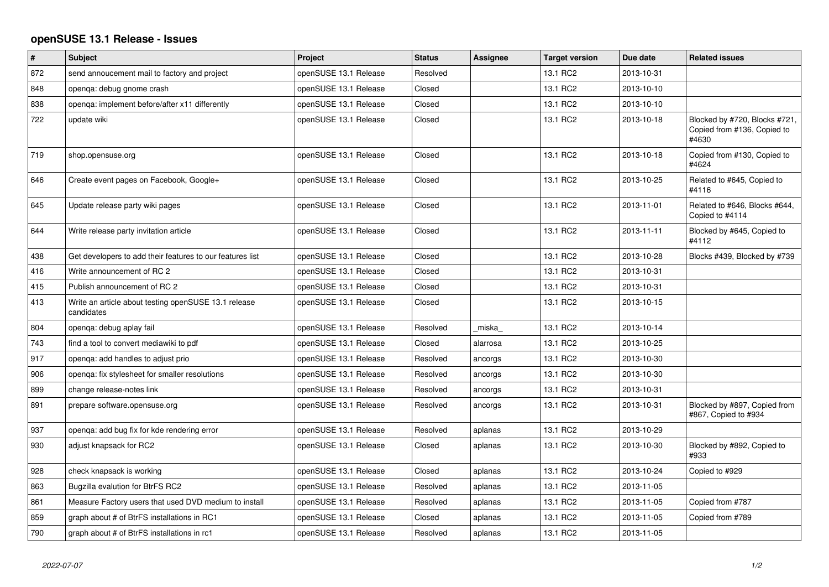## **openSUSE 13.1 Release - Issues**

| $\sharp$ | <b>Subject</b>                                                     | Project               | <b>Status</b> | <b>Assignee</b> | <b>Target version</b> | Due date   | <b>Related issues</b>                                                 |
|----------|--------------------------------------------------------------------|-----------------------|---------------|-----------------|-----------------------|------------|-----------------------------------------------------------------------|
| 872      | send annoucement mail to factory and project                       | openSUSE 13.1 Release | Resolved      |                 | 13.1 RC2              | 2013-10-31 |                                                                       |
| 848      | openqa: debug gnome crash                                          | openSUSE 13.1 Release | Closed        |                 | 13.1 RC2              | 2013-10-10 |                                                                       |
| 838      | openqa: implement before/after x11 differently                     | openSUSE 13.1 Release | Closed        |                 | 13.1 RC2              | 2013-10-10 |                                                                       |
| 722      | update wiki                                                        | openSUSE 13.1 Release | Closed        |                 | 13.1 RC2              | 2013-10-18 | Blocked by #720, Blocks #721,<br>Copied from #136, Copied to<br>#4630 |
| 719      | shop.opensuse.org                                                  | openSUSE 13.1 Release | Closed        |                 | 13.1 RC2              | 2013-10-18 | Copied from #130, Copied to<br>#4624                                  |
| 646      | Create event pages on Facebook, Google+                            | openSUSE 13.1 Release | Closed        |                 | 13.1 RC2              | 2013-10-25 | Related to #645, Copied to<br>#4116                                   |
| 645      | Update release party wiki pages                                    | openSUSE 13.1 Release | Closed        |                 | 13.1 RC2              | 2013-11-01 | Related to #646, Blocks #644,<br>Copied to #4114                      |
| 644      | Write release party invitation article                             | openSUSE 13.1 Release | Closed        |                 | 13.1 RC2              | 2013-11-11 | Blocked by #645, Copied to<br>#4112                                   |
| 438      | Get developers to add their features to our features list          | openSUSE 13.1 Release | Closed        |                 | 13.1 RC2              | 2013-10-28 | Blocks #439, Blocked by #739                                          |
| 416      | Write announcement of RC 2                                         | openSUSE 13.1 Release | Closed        |                 | 13.1 RC2              | 2013-10-31 |                                                                       |
| 415      | Publish announcement of RC 2                                       | openSUSE 13.1 Release | Closed        |                 | 13.1 RC2              | 2013-10-31 |                                                                       |
| 413      | Write an article about testing openSUSE 13.1 release<br>candidates | openSUSE 13.1 Release | Closed        |                 | 13.1 RC2              | 2013-10-15 |                                                                       |
| 804      | openqa: debug aplay fail                                           | openSUSE 13.1 Release | Resolved      | miska           | 13.1 RC2              | 2013-10-14 |                                                                       |
| 743      | find a tool to convert mediawiki to pdf                            | openSUSE 13.1 Release | Closed        | alarrosa        | 13.1 RC2              | 2013-10-25 |                                                                       |
| 917      | openga: add handles to adjust prio                                 | openSUSE 13.1 Release | Resolved      | ancorgs         | 13.1 RC2              | 2013-10-30 |                                                                       |
| 906      | openqa: fix stylesheet for smaller resolutions                     | openSUSE 13.1 Release | Resolved      | ancorgs         | 13.1 RC2              | 2013-10-30 |                                                                       |
| 899      | change release-notes link                                          | openSUSE 13.1 Release | Resolved      | ancorgs         | 13.1 RC2              | 2013-10-31 |                                                                       |
| 891      | prepare software.opensuse.org                                      | openSUSE 13.1 Release | Resolved      | ancorgs         | 13.1 RC2              | 2013-10-31 | Blocked by #897, Copied from<br>#867, Copied to #934                  |
| 937      | openga: add bug fix for kde rendering error                        | openSUSE 13.1 Release | Resolved      | aplanas         | 13.1 RC2              | 2013-10-29 |                                                                       |
| 930      | adjust knapsack for RC2                                            | openSUSE 13.1 Release | Closed        | aplanas         | 13.1 RC2              | 2013-10-30 | Blocked by #892, Copied to<br>#933                                    |
| 928      | check knapsack is working                                          | openSUSE 13.1 Release | Closed        | aplanas         | 13.1 RC2              | 2013-10-24 | Copied to #929                                                        |
| 863      | Bugzilla evalution for BtrFS RC2                                   | openSUSE 13.1 Release | Resolved      | aplanas         | 13.1 RC2              | 2013-11-05 |                                                                       |
| 861      | Measure Factory users that used DVD medium to install              | openSUSE 13.1 Release | Resolved      | aplanas         | 13.1 RC2              | 2013-11-05 | Copied from #787                                                      |
| 859      | graph about # of BtrFS installations in RC1                        | openSUSE 13.1 Release | Closed        | aplanas         | 13.1 RC2              | 2013-11-05 | Copied from #789                                                      |
| 790      | graph about # of BtrFS installations in rc1                        | openSUSE 13.1 Release | Resolved      | aplanas         | 13.1 RC2              | 2013-11-05 |                                                                       |